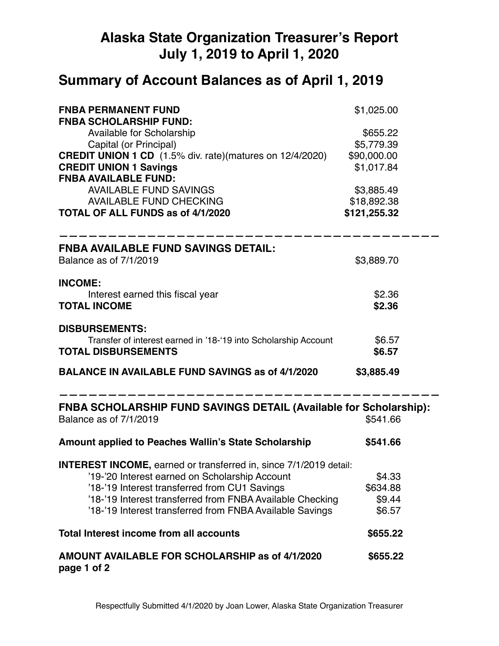# **Alaska State Organization Treasurer's Report July 1, 2019 to April 1, 2020**

# **Summary of Account Balances as of April 1, 2019**

| <b>FNBA PERMANENT FUND</b><br><b>FNBA SCHOLARSHIP FUND:</b>                                 | \$1,025.00   |  |
|---------------------------------------------------------------------------------------------|--------------|--|
| <b>Available for Scholarship</b>                                                            | \$655.22     |  |
| Capital (or Principal)                                                                      | \$5,779.39   |  |
| <b>CREDIT UNION 1 CD</b> (1.5% div. rate)(matures on 12/4/2020)                             | \$90,000.00  |  |
| <b>CREDIT UNION 1 Savings</b>                                                               | \$1,017.84   |  |
| <b>FNBA AVAILABLE FUND:</b>                                                                 |              |  |
| <b>AVAILABLE FUND SAVINGS</b>                                                               | \$3,885.49   |  |
| <b>AVAILABLE FUND CHECKING</b>                                                              | \$18,892.38  |  |
| TOTAL OF ALL FUNDS as of 4/1/2020                                                           | \$121,255.32 |  |
| <b>FNBA AVAILABLE FUND SAVINGS DETAIL:</b>                                                  |              |  |
| Balance as of 7/1/2019                                                                      | \$3,889.70   |  |
| <b>INCOME:</b>                                                                              |              |  |
| Interest earned this fiscal year                                                            | \$2.36       |  |
| <b>TOTAL INCOME</b>                                                                         | \$2.36       |  |
| <b>DISBURSEMENTS:</b>                                                                       |              |  |
| Transfer of interest earned in '18-'19 into Scholarship Account                             | \$6.57       |  |
| <b>TOTAL DISBURSEMENTS</b>                                                                  | \$6.57       |  |
| <b>BALANCE IN AVAILABLE FUND SAVINGS as of 4/1/2020</b>                                     | \$3,885.49   |  |
| FNBA SCHOLARSHIP FUND SAVINGS DETAIL (Available for Scholarship):<br>Balance as of 7/1/2019 | \$541.66     |  |
| <b>Amount applied to Peaches Wallin's State Scholarship</b>                                 | \$541.66     |  |
| <b>INTEREST INCOME, earned or transferred in, since 7/1/2019 detail:</b>                    |              |  |
| '19-'20 Interest earned on Scholarship Account                                              | \$4.33       |  |
| '18-'19 Interest transferred from CU1 Savings                                               | \$634.88     |  |
| '18-'19 Interest transferred from FNBA Available Checking                                   | \$9.44       |  |
| '18-'19 Interest transferred from FNBA Available Savings                                    | \$6.57       |  |
| <b>Total Interest income from all accounts</b>                                              | \$655.22     |  |
| AMOUNT AVAILABLE FOR SCHOLARSHIP as of 4/1/2020<br>page 1 of 2                              | \$655.22     |  |